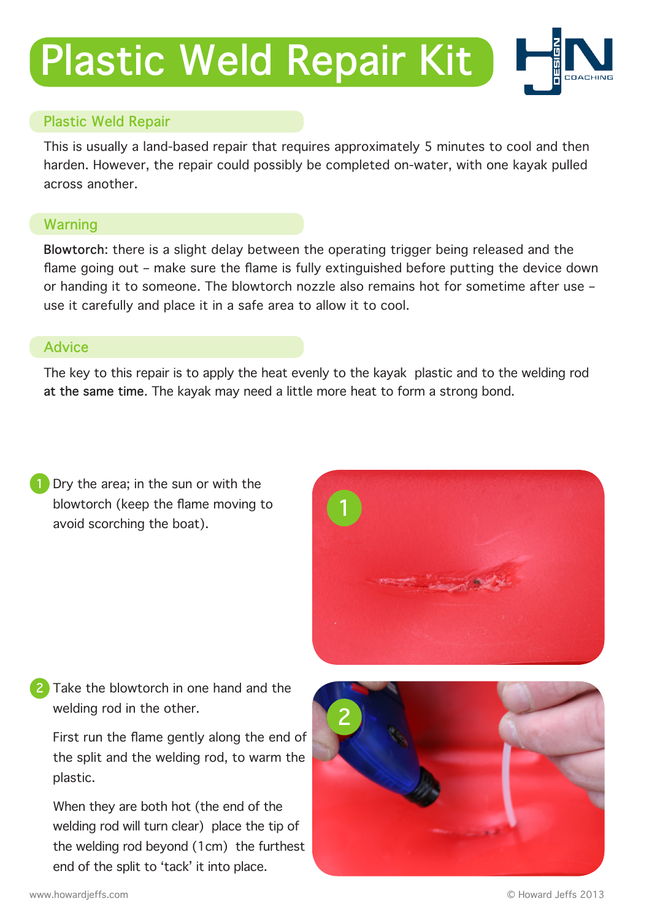## **Plastic Weld Repair Kit**



## **Plastic Weld Repair**

This is usually a land-based repair that requires approximately 5 minutes to cool and then harden. However, the repair could possibly be completed on-water, with one kayak pulled across another.

## **Warning**

**Blowtorch**: there is a slight delay between the operating trigger being released and the flame going out – make sure the flame is fully extinguished before putting the device down or handing it to someone. The blowtorch nozzle also remains hot for sometime after use – use it carefully and place it in a safe area to allow it to cool.

## **Advice**

The key to this repair is to apply the heat evenly to the kayak plastic and to the welding rod **at the same time**. The kayak may need a little more heat to form a strong bond.

**1** Dry the area; in the sun or with the blowtorch (keep the flame moving to avoid scorching the boat).



Take the blowtorch in one hand and the welding rod in the other. **2**

First run the flame gently along the end of the split and the welding rod, to warm the plastic.

When they are both hot (the end of the welding rod will turn clear) place the tip of the welding rod beyond (1cm) the furthest end of the split to 'tack' it into place.

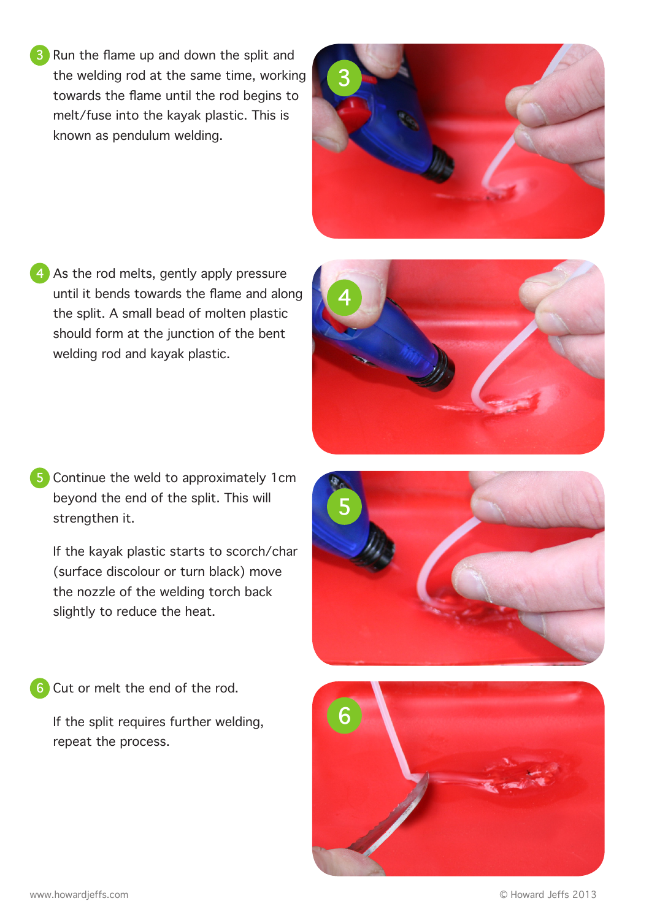**3** Run the flame up and down the split and the welding rod at the same time, working towards the flame until the rod begins to melt/fuse into the kayak plastic. This is known as pendulum welding.

4 As the rod melts, gently apply pressure until it bends towards the flame and along the split. A small bead of molten plastic should form at the junction of the bent welding rod and kayak plastic.

**5** Continue the weld to approximately 1cm beyond the end of the split. This will strengthen it.

If the kayak plastic starts to scorch/char (surface discolour or turn black) move the nozzle of the welding torch back slightly to reduce the heat.

**6** Cut or melt the end of the rod.

If the split requires further welding, repeat the process.





**4**